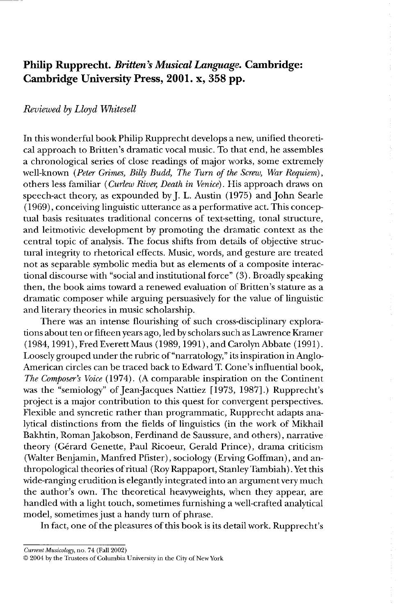## **Philip Rupprecht.** *Britten's Musical Language.* **Cambridge: Cambridge University Press, 2001. x, 358 pp.**

## *Reviewed by Lloyd Whitesell*

In this wonderful book Philip Rupprecht develops a new, unified theoretical approach to Britten's dramatic vocal music. To that end, he assembles a chronological series of close readings of major works, some extremely well-known *(Peter Grimes, Billy Budd, The Turn of the Screw, War Requiem),*  others less familiar *(Curlew River, Death in Venice).* His approach draws on speech-act theory, as expounded by J. L. Austin (1975) and John Searle (1969) , conceiving linguistic utterance as a performative act. This conceptual basis resituates traditional concerns of text-setting, tonal structure, and leitmotivic development by promoting the dramatic context as the central topic of analysis. The focus shifts from details of objective structural integrity to rhetorical effects. Music, words, and gesture are treated not as separable symbolic media but as elements of a composite interactional discourse with "social and institutional force" (3). Broadly speaking then, the book aims toward a renewed evaluation of Britten's stature as a dramatic composer while arguing persuasively for the value of linguistic and literary theories in music scholarship.

There was an intense flourishing of such cross-disciplinary explorations about ten or fifteen years ago, led by scholars such as Lawrence Kramer (1984,1991), Fred Everett Maus (1989, 1991), and Carolyn Abbate (1991). Loosely grouped under the rubric of "narratology," its inspiration in Anglo-American circles can be traced back to Edward T. Cone's influential book, *The Composer's Voice* (1974). (A comparable inspiration on the Continent was the "semiology" of Jean jacques Nattiez [1973,1987].) Rupprecht's project is a major contribution to this quest for convergent perspectives. Flexible and syncretic rather than programmatic, Rupprecht adapts analytical distinctions from the fields of linguistics (in the work of Mikhail Bakhtin, Roman Jakobson, Ferdinand de Saussure, and others), narrative theory (Gerard Genette, Paul Ricoeur, Gerald Prince), drama criticism (Walter Benjamin, Manfred Pfister), sociology (Erving Goffman), and anthropological theories of ritual (Roy Rappaport, Stanley Tambiah) . Yet this wide-ranging erudition is elegantly integrated into an argument very much the author's own. The theoretical heavyweights, when they appear, are handled with a light touch, sometimes furnishing a well-crafted analytical model, sometimes just a handy turn of phrase.

In fact, one of the pleasures of this book is its detail work. Rupprecht's

*Current Musicology,* no. 74 (Fall 2002)

© 2004 by the Trustees of Columbia University in the City of New York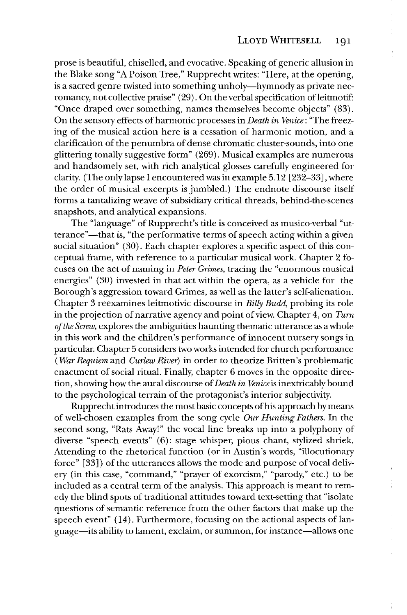prose is beautiful, chiselled, and evocative. Speaking of generic allusion in the Blake song "A Poison Tree," Rupprecht writes: "Here, at the opening, is a sacred genre twisted into something unholy-hymnody as private necromancy, not collective praise" (29). On the verbal specification of leitmotif: "Once draped over something, names themselves become objects" (83). On the sensory effects of harmonic processes in *Death in Venice:* "The freezing of the musical action here is a cessation of harmonic motion, and a clarification of the penumbra of dense chromatic cluster-sounds, into one glittering tonally suggestive form" (269). Musical examples are numerous and handsomely set, with rich analytical glosses carefully engineered for clarity. (The only lapse I encountered was in example 5.12 [232-33], where the order of musical excerpts is jumbled.) The endnote discourse itself forms a tantalizing weave of subsidiary critical threads, behind-the-scenes snapshots, and analytical expansions.

The "language" of Rupprecht's title is conceived as musico-verbal "utterance"-that is, "the performative terms of speech acting within a given social situation" (30). Each chapter explores a specific aspect of this conceptual frame, with reference to a particular musical work. Chapter 2 focuses on the act of naming in *Peter Grimes,* tracing the "enormous musical energies" (30) invested in that act within the opera, as a vehicle for the Borough's aggression toward Grimes, as well as the latter's self-alienation. Chapter 3 reexamines leitmotivic discourse in *Billy Budd,* probing its role in the projection of narrative agency and point of view. Chapter 4, on *Turn of the Screw,* explores the ambiguities haunting thematic utterance as a whole in this work and the children's performance of innocent nursery songs in particular. Chapter 5 considers two works intended for church performance *(War Requiem* and *Curlew River)* in order to theorize Britten's problematic enactment of social ritual. Finally, chapter 6 moves in the opposite direction, showing how the aural discourse of *Death in Venice* is inextricably bound to the psychological terrain of the protagonist's interior subjectivity.

Rupprecht introduces the most basic concepts of his approach by means of well-chosen examples from the song cycle *Our Hunting Fathers.* In the second song, "Rats Away!" the vocal line breaks up into a polyphony of diverse "speech events" (6): stage whisper, pious chant, stylized shriek. Attending to the rhetorical function (or in Austin's words, "illocutionary force" [33]) of the utterances allows the mode and purpose of vocal delivery (in this case, "command," "prayer of exorcism," "parody," etc.) to be included as a central term of the analysis. This approach is meant to remedy the blind spots of traditional attitudes toward text-setting that "isolate questions of semantic reference from the other factors that make up the speech event" (14). Furthermore, focusing on the actional aspects of language-its ability to lament, exclaim, or summon, for instance-allows one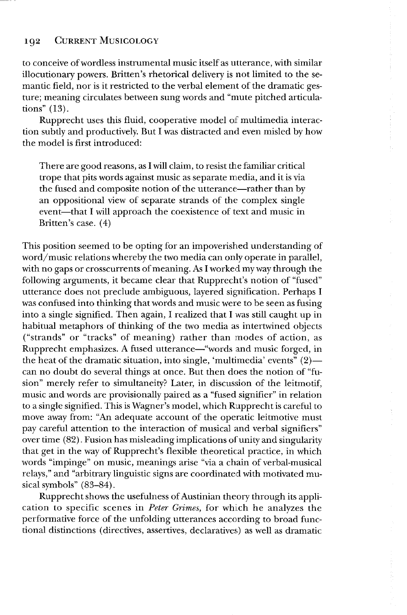## 192 CURRENT MUSICOLOGY

to conceive of wordless instrumental music itself as utterance, with similar illocutionary powers. Britten's rhetorical delivery is not limited to the semantic field, nor is it restricted to the verbal element of the dramatic gesture; meaning circulates between sung words and "mute pitched articulations" (13).

Rupprecht uses this fluid, cooperative model of multimedia interaction subtly and productively. But I was distracted and even misled by how the model is first introduced:

There are good reasons, as I will claim, to resist the familiar critical trope that pits words against music as separate media, and it is via the fused and composite notion of the utterance—rather than by an oppositional view of separate strands of the complex single event—that I will approach the coexistence of text and music in Britten's case. (4)

This position seemed to be opting for an impoverished understanding of word/music relations whereby the two media can only operate in parallel, with no gaps or crosscurrents of meaning. As I worked my way through the following arguments, it became clear that Rupprecht's notion of "fused" utterance does not preclude ambiguous, layered signification. Perhaps I was confused into thinking that words and music were to be seen as fusing into a single signified. Then again, I realized that I was still caught up in habitual metaphors of thinking of the two media as intertwined objects ("strands" or "tracks" of meaning) rather than modes of action, as Rupprecht emphasizes. A fused utterance—"words and music forged, in the heat of the dramatic situation, into single, 'multimedia' events"  $(2)$  can no doubt do several things at once. But then does the notion of "fusion" merely refer to simultaneity? Later, in discussion of the leitmotif, music and words are provisionally paired as a "fused signifier" in relation to a single signified. This is Wagner's model, which Rupprecht is careful to move away from: "An adequate account of the operatic leitmotive must pay careful attention to the interaction of musical and verbal signifiers" over time (82). Fusion has misleading implications of unity and singularity that get in the way of Rupprecht's flexible theoretical practice, in which words "impinge" on music, meanings arise "via a chain of verbal-musical relays," and "arbitrary linguistic signs are coordinated with motivated musical symbols" (83-84).

Rupprecht shows the usefulness of Austinian theory through its application to specific scenes in *Peter Grimes,* for which he analyzes the performative force of the unfolding utterances according to broad functional distinctions (directives, assertives, declaratives) as well as dramatic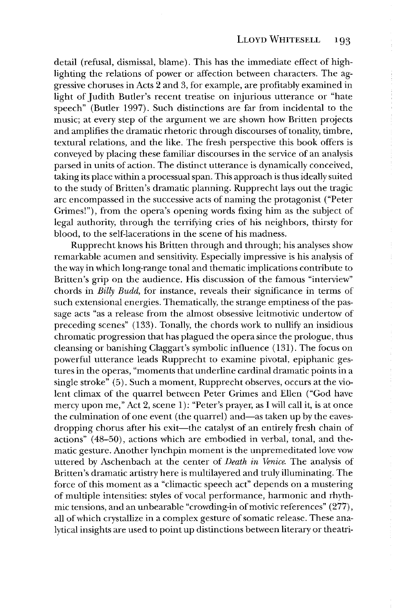detail (refusal, dismissal, blame). This has the immediate effect of highlighting the relations of power or affection between characters. The aggressive choruses in Acts 2 and 3, for example, are profitably examined in light of Judith Butler's recent treatise on injurious utterance or "hate speech" (Butler 1997). Such distinctions are far from incidental to the music; at every step of the argument we are shown how Britten projects and amplifies the dramatic rhetoric through discourses of tonality, timbre, textural relations, and the like. The fresh perspective this book offers is conveyed by placing these familiar discourses in the service of an analysis parsed in units of action. The distinct utterance is dynamically conceived, taking its place within a processual span. This approach is thus ideally suited to the study of Britten's dramatic planning. Rupprecht lays out the tragic arc encompassed in the successive acts of naming the protagonist ("Peter Grimes!"), from the opera's opening words fixing him as the subject of legal authority, through the terrifying cries of his neighbors, thirsty for blood, to the self-lacerations in the scene of his madness.

Rupprecht knows his Britten through and through; his analyses show remarkable acumen and sensitivity. Especially impressive is his analysis of the way in which long-range tonal and thematic implications contribute to Britten's grip on the audience. His discussion of the famous "interview" chords in Billy Budd, for instance, reveals their significance in terms of such extensional energies. Thematically, the strange emptiness of the passage acts "as a release from the almost obsessive leitmotivic undertow of preceding scenes" (133). Tonally, the chords work to nullity an insidious chromatic progression that has plagued the opera since the prologue, thus cleansing or banishing Claggart's symbolic influence (131). The focus on powerful utterance leads Rupprecht to examine pivotal, epiphanic gestures in the operas, "moments that underline cardinal dramatic points in a single stroke" (5). Such a moment, Rupprecht observes, occurs at the violent climax of the quarrel between Peter Grimes and Ellen ("God have mercy upon me," Act 2, scene 1): "Peter's prayer, as I will call it, is at once the culmination of one event (the quarrel) and—as taken up by the eavesdropping chorus after his exit—the catalyst of an entirely fresh chain of actions" (48-50), actions which are embodied in verbal, tonal, and thematic gesture. Another lynchpin moment is the unpremeditated love vow uttered by Aschenbach at the center of *Death in Venice.* The analysis of Britten's dramatic artistry here is multilayered and truly illuminating. The force of this moment as a "climactic speech act" depends on a mustering of multiple intensities: styles of vocal performance, harmonic and rhythmic tensions, and an unbearable "crowding-in of motivic references" (277), all of which crystallize in a complex gesture of somatic release. These analytical insights are used to point up distinctions between literary or theatri-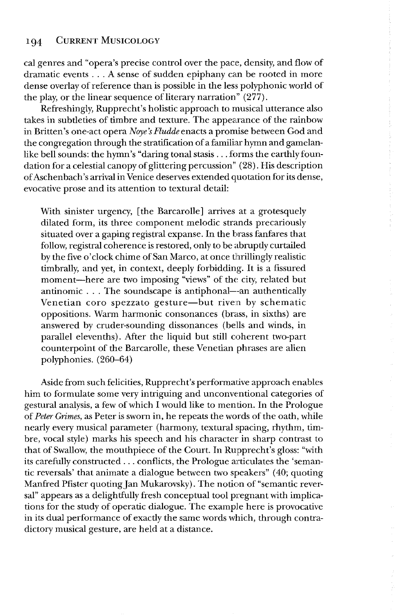cal genres and "opera's precise control over the pace, density, and flow of dramatic events ... A sense of sudden epiphany can be rooted in more dense overlay of reference than is possible in the less polyphonic world of the play, or the linear sequence of literary narration" (277).

Refreshingly, Rupprecht's holistic approach to musical utterance also takes in subtleties of timbre and texture. The appearance of the rainbow in Britten's one-act opera *Noye's Fludde* enacts a promise between God and the congregation through the stratification of a familiar hymn and gamelanlike bell sounds: the hymn's "daring tonal stasis ... forms the earthly foundation for a celestial canopy of glittering percussion" (28). His description of Aschenbach's arrival in Venice deserves extended quotation for its dense, evocative prose and its attention to textural detail:

With sinister urgency, [the Barcarolle] arrives at a grotesquely dilated form, its three component melodic strands precariously situated over a gaping registral expanse. In the brass fanfares that follow, registral coherence is restored, only to be abruptly curtailed by the five 0' clock chime of San Marco, at once thrillingly realistic timbrally, and yet, in context, deeply forbidding. It is a fissured moment-here are two imposing "views" of the city, related but antinomic ... The soundscape is antiphonal--an authentically Venetian coro spezzato gesture-but riven by schematic oppositions. Warm harmonic consonances (brass, in sixths) are answered by cruder-sounding dissonances (bells and winds, in parallel elevenths). *Mter* the liquid but still coherent two-part counterpoint of the Barcarolle, these Venetian phrases are alien polyphonies. (260-64)

Aside from such felicities, Rupprecht's performative approach enables him to formulate some very intriguing and unconventional categories of gestural analysis, a few of which I would like to mention. In the Prologue of *Peter Grimes,* as Peter is sworn in, he repeats the words of the oath, while nearly every musical parameter (harmony, textural spacing, rhythm, timbre, vocal style) marks his speech and his character in sharp contrast to that of Swallow, the mouthpiece of the Court. In Rupprecht's gloss: "with its carefully constructed  $\ldots$  conflicts, the Prologue articulates the 'semantic reversals' that animate a dialogue between two speakers" (40; quoting Manfred Pfister quoting Jan Mukarovsky). The notion of "semantic reversal" appears as a delightfully fresh conceptual tool pregnant with implications for the study of operatic dialogue. The example here is provocative in its dual performance of exactly the same words which, through contradictory musical gesture, are held at a distance.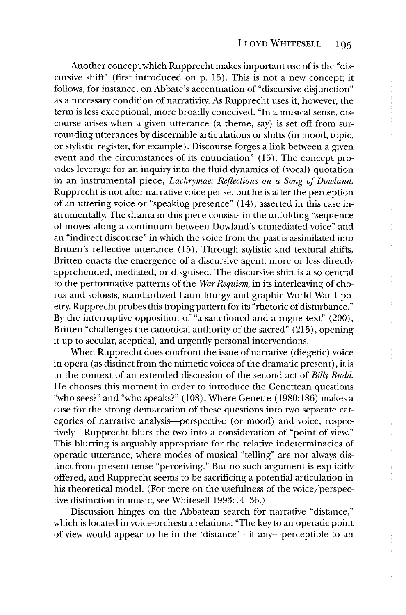Another concept which Rupprecht makes important use of is the "discursive shift" (first introduced on p. 15). This is not a new concept; it follows, for instance, on Abbate's accentuation of "discursive disjunction" as a necessary condition of narrativity. As Rupprecht uses it, however, the term is less exceptional, more broadly conceived. "In a musical sense, discourse arises when a given utterance (a theme, say) is set off from surrounding utterances by discernible articulations or shifts (in mood, topic, or stylistic register, for example). Discourse forges a link between a given event and the circumstances of its enunciation" (15). The concept provides leverage for an inquiry into the fluid dynamics of (vocal) quotation in an instrumental piece, *Lachrymae: Reflections on a Song of Dowland.*  Rupprecht is not after narrative voice per se, but he is after the perception of an uttering voice or "speaking presence" (14), asserted in this case instrumentally. The drama in this piece consists in the unfolding "sequence of moves along a continuum between Dowland's unmediated voice" and an "indirect discourse" in which the voice from the past is assimilated into Britten's reflective utterance (15). Through stylistic and textural shifts, Britten enacts the emergence of a discursive agent, more or less directly apprehended, mediated, or disguised. The discursive shift is also central to the performative patterns of the *War Requiem,* in its interleaving of chorus and soloists, standardized Latin liturgy and graphic World War I poetry. Rupprecht probes this troping pattern for its "rhetoric of disturbance." By the interruptive opposition of "a sanctioned and a rogue text" (200), Britten "challenges the canonical authority of the sacred" (215), opening it up to secular, sceptical, and urgently personal interventions.

When Rupprecht does confront the issue of narrative (diegetic) voice in opera (as distinct from the mimetic voices of the dramatic present), it is in the context of an extended discussion of the second act of *Billy Budd.*  He chooses this moment in order to introduce the Genettean questions "who sees?" and "who speaks?" (108). Where Genette (1980:186) makes a case for the strong demarcation of these questions into two separate categories of narrative analysis—perspective (or mood) and voice, respectively-Rupprecht blurs the two into a consideration of "point of view." This blurring is arguably appropriate for the relative indeterminacies of operatic utterance, where modes of musical "telling" are not always distinct from present-tense "perceiving." But no such argument is explicitly offered, and Rupprecht seems to be sacrificing a potential articulation in his theoretical model. (For more on the usefulness of the voice/perspective distinction in music, see Whitesell 1993:14-36.)

Discussion hinges on the Abbatean search for narrative "distance," which is located in voice-orchestra relations: "The key to an operatic point of view would appear to lie in the 'distance'—if any—perceptible to an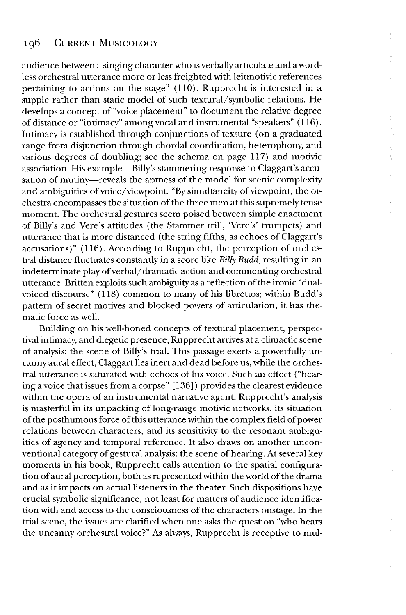audience between a singing character who is verbally articulate and a wordless orchestral utterance more or less freighted with leitmotivic references pertaining to actions on the stage" (110). Rupprecht is interested in a supple rather than static model of such textural/symbolic relations. He develops a concept of "voice placement" to document the relative degree of distance or "intimacy" among vocal and instrumental "speakers" (116). Intimacy is established through conjunctions of texture (on a graduated range from disjunction through chordal coordination, heterophony, and various degrees of doubling; see the schema on page 117) and motivic association. His example-Billy's stammering response to Claggart's accusation of mutiny—reveals the aptness of the model for scenic complexity and ambiguities of voice/viewpoint. "By simultaneity of viewpoint, the orchestra encompasses the situation of the three men at this supremely tense moment. The orchestral gestures seem poised between simple enactment of Billy's and Vere's attitudes (the Stammer trill, 'Vere's' trumpets) and utterance that is more distanced (the string fifths, as echoes of Claggart's accusations)" (116). According to Rupprecht, the perception of orchestral distance fluctuates constantly in a score like Billy Budd, resulting in an indeterminate play of verbal/dramatic action and commenting orchestral utterance. Britten exploits such ambiguity as a reflection of the ironic "dualvoiced discourse" (118) common to many of his librettos; within Budd's pattern of secret motives and blocked powers of articulation, it has thematic force as well.

Building on his well-honed concepts of textural placement, perspectival intimacy, and diegetic presence, Rupprecht arrives at a climactic scene of analysis: the scene of Billy's trial. This passage exerts a powerfully uncanny aural effect; Claggart lies inert and dead before us, while the orchestral utterance is saturated with echoes of his voice. Such an effect ("hearing a voice that issues from a corpse" [136]) provides the clearest evidence within the opera of an instrumental narrative agent. Rupprecht's analysis is masterful in its unpacking of long-range motivic networks, its situation of the posthumous force of this utterance within the complex field of power relations between characters, and its sensitivity to the resonant ambiguities of agency and temporal reference. **It** also draws on another unconventional category of gestural analysis: the scene of hearing. At several key moments in his book, Rupprecht calls attention to the spatial configuration of aural perception, both as represented within the world of the drama and as it impacts on actual listeners in the theater. Such dispositions have crucial symbolic significance, not least for matters of audience identification with and access to the consciousness of the characters onstage. **In** the trial scene, the issues are clarified when one asks the question "who hears the uncanny orchestral voice?" As always, Rupprecht is receptive to mul-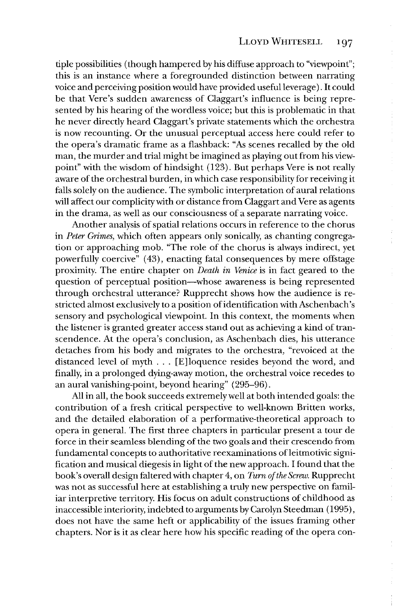tiple possibilities (though hampered by his diffuse approach to "viewpoint"; this is an instance where a foregrounded distinction between narrating voice and perceiving position would have provided useful leverage ). It could be that Vere's sudden awareness of Claggart's influence is being represented by his hearing of the wordless voice; but this is problematic in that he never directly heard Claggart's private statements which the orchestra is now recounting. Or the unusual perceptual access here could refer to the opera's dramatic frame as a flashback: "As scenes recalled by the old man, the murder and trial might be imagined as playing out from his viewpoint" with the wisdom of hindsight (123). But perhaps Vere is not really aware of the orchestral burden, in which case responsibility for receiving it falls solely on the audience. The symbolic interpretation of aural relations will affect our complicity with or distance from Claggart and Vere as agents in the drama, as well as our consciousness of a separate narrating voice.

Another analysis of spatial relations occurs in reference to the chorus in *Peter Grimes,* which often appears only sonically, as chanting congregation or approaching mob. "The role of the chorus is always indirect, yet powerfully coercive" (43), enacting fatal consequences by mere offstage proximity. The entire chapter on *Death in Venice* is in fact geared to the question of perceptual position-whose awareness is being represented through orchestral utterance? Rupprecht shows how the audience is restricted almost exclusively to a position of identification with Aschenbach's sensory and psychological viewpoint. In this context, the moments when the listener is granted greater access stand out as achieving a kind of transcendence. At the opera's conclusion, as Aschenbach dies, his utterance detaches from his body and migrates to the orchestra, "revoiced at the distanced level of myth ... [E]loquence resides beyond the word, and finally, in a prolonged dying-away motion, the orchestral voice recedes to an aural vanishing-point, beyond hearing" (295-96).

All in all, the book succeeds extremely well at both intended goals: the contribution of a fresh critical perspective to well-known Britten works, and the detailed elaboration of a performative-theoretical approach to opera in general. The first three chapters in particular present a tour de force in their seamless blending of the two goals and their crescendo from fundamental concepts to authoritative reexaminations of leitmotivic signification and musical diegesis in light of the new approach. I found that the book's overall design faltered with chapter 4, on *Turn of the Screw.* Rupprecht was not as successful here at establishing a truly new perspective on familiar interpretive territory. His focus on adult constructions of childhood as inaccessible interiority, indebted to arguments by Carolyn Steedman (1995), does not have the same heft or applicability of the issues framing other chapters. Nor is it as clear here how his specific reading of the opera con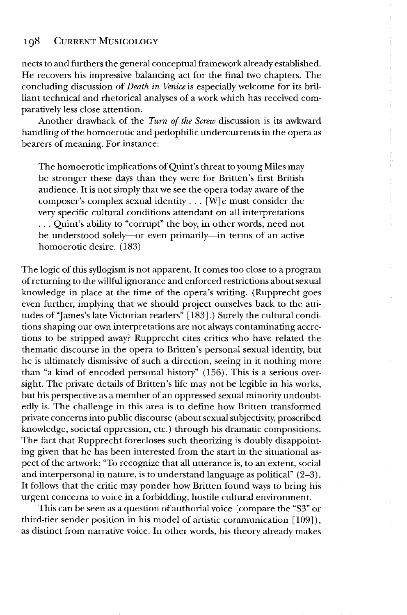nects to and furthers the general conceptual framework already established. He recovers his impressive balancing act for the final two chapters. The concluding discussion of *Death in Venice* is especially welcome for its brilliant technical and rhetorical analyses of a work which has received comparatively less close attention.

Another drawback of the *Turn of the Screw* discussion is its awkward handling of the homoerotic and pedophilic undercurrents in the opera as bearers of meaning. For instance:

The homoerotic implications of Quint's threat to young Miles may be stronger these days than they were for Brittien's first British audience. It is not simply that we see the opera today aware of the composer's complex sexual identity  $\dots$  [W] e must consider the very specific cultural conditions attendant on all interpretations ... Quint's ability to "corrupt" the boy, in other words, need not be understood solely—or even primarily—in terms of an active homoerotic desire. (183)

The logic of this syllogism is not apparent. It comes too close to a program of returning to the willful ignorance and enforced restrictions about sexual knowledge in place at the time of the opera's writing. (Rupprecht goes even further, implying that we should project ourselves back to the attitudes of 'james's late Victorian readers" [183].) Surely the cultural conditions shaping our own interpretations are not always contaminating accretions to be stripped away? Rupprecht cites critics who have related the thematic discourse in the opera to Britten's personal sexual identity, but he is ultimately dismissive of such a direction, seeing in it nothing more than "a kind of encoded personal history" (156). This is a serious oversight. The private details of Britten's life may not be legible in his works, but his perspective as a member of an oppressed sexual minority undoubtedly is. The challenge in this area is to define how Britten transformed private concerns into public discourse (about sexual subjectivity, proscribed knowledge, societal oppression, etc.) through his dramatic compositions. The fact that Rupprecht forecloses such theorizing is doubly disappointing given that he has been interested from the start in the situational aspect of the artwork: "To recognize that all utterance is, to an extent, social and interpersonal in nature, is to understand language as political" (2-3). It follows that the critic may ponder how Britten found ways to bring his urgent concerns to voice in a forbidding, hostile cultural environment.

This can be seen as a question of authorial voice (compare the "S3" or third-tier sender position in his model of artistic communication [109]), as distinct from narrative voice. In other words, his theory already makes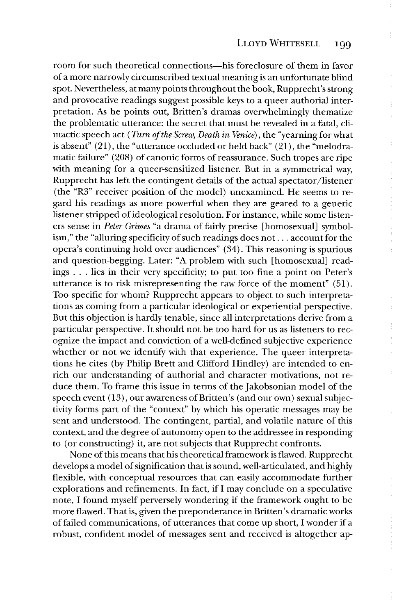room for such theoretical connections-his foreclosure of them in favor of a more narrowly circumscribed textual meaning is an unfortunate blind spot. Nevertheless, at many points throughout the book, Rupprecht's strong and provocative readings suggest possible keys to a queer authorial interpretation. As he points out, Britten's dramas overwhelmingly thematize the problematic utterance: the secret that must be revealed in a fatal, climactic speech act *(Turn of the Screw, Death in Venice),* the "yearning for what is absent" (21), the "utterance occluded or held back" (21), the "melodramatic failure" (208) of canonic forms of reassurance. Such tropes are ripe with meaning for a queer-sensitized listener. But in a symmetrical way, Rupprecht has left the contingent details of the actual spectator/listener (the "R3" receiver position of the model) unexamined. He seems to regard his readings as more powerful when they are geared to a generic listener stripped of ideological resolution. For instance, while some listeners sense in *Peter Grimes* "a drama of fairly precise [homosexual] symbolism," the "alluring specificity of such readings does not ... account for the opera's continuing hold over audiences" (34). This reasoning is spurious and question-begging. Later: "A problem with such [homosexual] readings ... lies in their very specificity; to put too fine a point on Peter's utterance is to risk misrepresenting the raw force of the moment" (51). Too specific for whom? Rupprecht appears to object to such interpretations as coming from a particular ideological or experiential perspective. But this objection is hardly tenable, since all interpretations derive from a particular perspective. It should not be too hard for us as listeners to recognize the impact and conviction of a well-defined subjective experience whether or not we identify with that experience. The queer interpretations he cites (by Philip Brett and Clifford Hindley) are intended to enrich our understanding of authorial and character motivations, not reduce them. To frame this issue in terms of the Jakobsonian model of the speech event (13), our awareness of Britten's (and our own) sexual subjectivity forms part of the "context" by which his operatic messages may be sent and understood. The contingent, partial, and volatile nature of this context, and the degree of autonomy open to the addressee in responding to (or constructing) it, are not subjects that Rupprecht confronts.

None of this means that his theoretical framework is flawed. Rupprecht develops a model of signification that is sound, well-articulated, and highly flexible, with conceptual resources that can easily accommodate further explorations and refinements. In fact, if I may conclude on a speculative note, I found myself perversely wondering if the framework ought to be more flawed. That is, given the preponderance in Britten's dramatic works of failed communications, of utterances that come up short, I wonder if a robust, confident model of messages sent and received is altogether ap-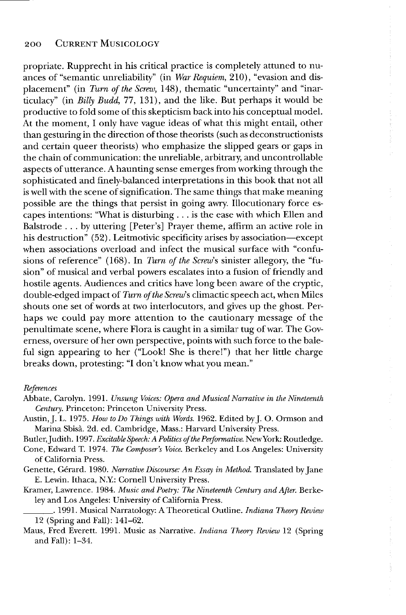propriate. Rupprecht in his critical practice is completely attuned to nuances of "semantic unreliability" (in *War Requiem,* 210), "evasion and displacement" (in *Turn of the Screw,* 148), thematic "uncertainty" and "inarticulacy" (in *Billy Budd,* 77, 131), and the like. But perhaps it would be productive to fold some of this skepticism back into his conceptual model. At the moment, I only have vague ideas of what this might entail, other than gesturing in the direction of those theorists (such as deconstructionists and certain queer theorists) who emphasize the slipped gears or gaps in the chain of communication: the unreliable, arbitrary, and uncontrollable aspects of utterance. A haunting sense emerges from working through the sophisticated and finely-balanced interpretations in this book that not all is well with the scene of signification. The same things that make meaning possible are the things that persist in going awry. Illocutionary force escapes intentions: "What is disturbing ... is the ease with which Ellen and Balstrode ... by uttering [Peter's] Prayer theme, affirm an active role in his destruction" (52). Leitmotivic specificity arises *by* association-except when associations overload and infect the musical surface with "confusions of reference" (168). In *Turn of the Screw's* sinister allegory, the "fusion" of musical and verbal powers escalates into a fusion of friendly and hostile agents. Audiences and critics have long been aware of the cryptic, double-edged impact of *Turn of the Screw's* climactic speech act, when Miles shouts one set of words at two interlocutors, and gives up the ghost. Perhaps we could pay more attention to the cautionary message of the penultimate scene, where Flora is caught in a similar tug of war. The Governess, oversure of her own perspective, points with such force to the baleful sign appearing to her ("Look! She is there!") that her little charge breaks down, protesting: "I don't know what you mean."

## *References*

Austin, J. L. 1975. *How to Do Things with Words.* 1962. Edited by J. O. Ormson and Marina Sbisà. 2d. ed. Cambridge, Mass.: Harvard University Press.

Butler, Judith. 1997. *Excitable Speech: A Politics of the Performative*. New York: Routledge.

- Cone, Edward T. 1974. *The Composer's Voice.* Berkeley and Los Angeles: University of California Press.
- Genette, Gerard. 1980. *Narrative Discourse: An Essay in Method.* Translated by Jane E. Lewin. Ithaca, NY: Cornell University Press.
- Kramer, Lawrence. 1984. *Music and Poetry: The Nineteenth Century and After.* Berkeley and Los Angeles: University of California Press.
- \_\_\_ . 1991. Musical Narratology: A Theoretical Outline. *Indiana Theory RevifmJ*  12 (Spring and Fall): l41-62.
- Maus, Fred Everett. 1991. Music as Narrative. *Indiana Theory Review* 12 (Spring and Fall): 1-34.

Abbate, Carolyn. 1991. *Unsung Voices: Opera and Musical Narrative in the Nineteenth Century.* Princeton: Princeton University Press.